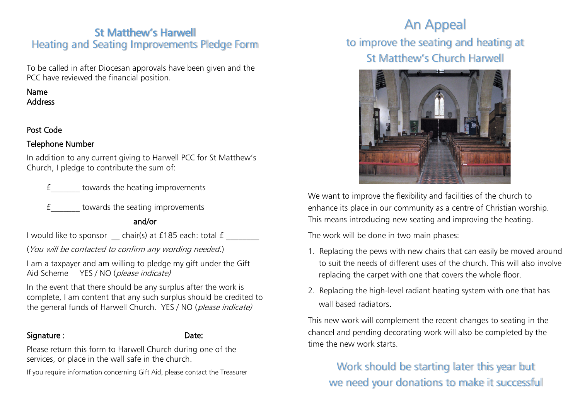# St Matthew's Harwell Heating and Seating Improvements Pledge Form

To be called in after Diocesan approvals have been given and the PCC have reviewed the financial position.

### Name Address

### Post Code

### Telephone Number

In addition to any current giving to Harwell PCC for St Matthew's Church, I pledge to contribute the sum of:

£\_\_\_\_\_\_\_ towards the heating improvements

£\_\_\_\_\_\_\_ towards the seating improvements

## and/or

I would like to sponsor \_\_ chair(s) at £185 each: total £ \_\_\_\_\_\_

(You will be contacted to confirm any wording needed.)

I am a taxpayer and am willing to pledge my gift under the Gift Aid Scheme YES / NO (*please indicate*)

In the event that there should be any surplus after the work is complete, I am content that any such surplus should be credited to the general funds of Harwell Church. YES / NO (please indicate)

### Signature : Note: Date: Date:

Please return this form to Harwell Church during one of the services, or place in the wall safe in the church.

If you require information concerning Gift Aid, please contact the Treasurer

# An Appeal

to improve the seating and heating at St Matthew's Church Harwell



We want to improve the flexibility and facilities of the church to enhance its place in our community as a centre of Christian worship. This means introducing new seating and improving the heating.

The work will be done in two main phases:

- 1. Replacing the pews with new chairs that can easily be moved around to suit the needs of different uses of the church. This will also involve replacing the carpet with one that covers the whole floor.
- 2. Replacing the high-level radiant heating system with one that has wall based radiators.

This new work will complement the recent changes to seating in the chancel and pending decorating work will also be completed by the time the new work starts.

Work should be starting later this year but we need your donations to make it successful